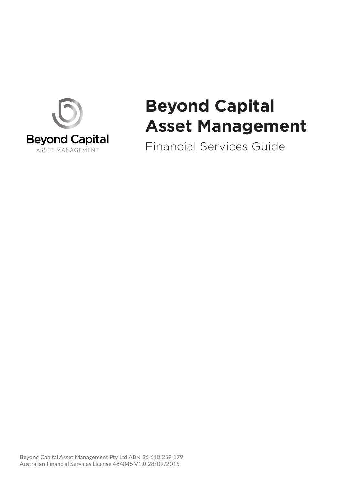

# **Beyond Capital Asset Management**

Financial Services Guide

Beyond Capital Asset Management Pty Ltd ABN 26 610 259 179 Australian Financial Services License 484045 V1.0 28/09/2016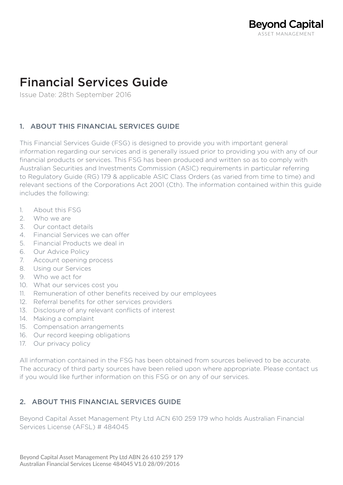# Financial Services Guide

Issue Date: 28th September 2016

# 1. ABOUT THIS FINANCIAL SERVICES GUIDE

This Financial Services Guide (FSG) is designed to provide you with important general information regarding our services and is generally issued prior to providing you with any of our financial products or services. This FSG has been produced and written so as to comply with Australian Securities and Investments Commission (ASIC) requirements in particular referring to Regulatory Guide (RG) 179 & applicable ASIC Class Orders (as varied from time to time) and relevant sections of the Corporations Act 2001 (Cth). The information contained within this guide includes the following:

- 1. About this FSG
- 2. Who we are
- 3. Our contact details
- 4. Financial Services we can offer
- 5. Financial Products we deal in
- 6. Our Advice Policy
- 7. Account opening process
- 8. Using our Services
- 9. Who we act for
- 10. What our services cost you
- 11. Remuneration of other benefits received by our employees
- 12. Referral benefits for other services providers
- 13. Disclosure of any relevant conflicts of interest
- 14. Making a complaint
- 15. Compensation arrangements
- 16. Our record keeping obligations
- 17. Our privacy policy

All information contained in the FSG has been obtained from sources believed to be accurate. The accuracy of third party sources have been relied upon where appropriate. Please contact us if you would like further information on this FSG or on any of our services.

# 2. ABOUT THIS FINANCIAL SERVICES GUIDE

Beyond Capital Asset Management Pty Ltd ACN 610 259 179 who holds Australian Financial Services License (AFSL) # 484045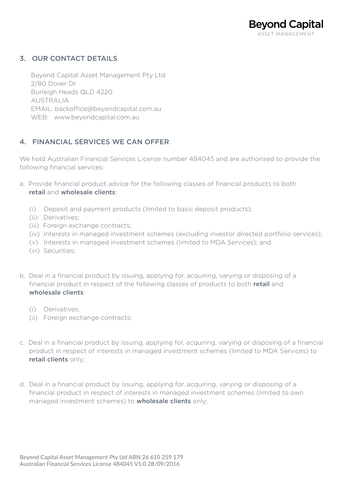# 3. OUR CONTACT DETAILS

 Beyond Capital Asset Management Pty Ltd 2/80 Dover Dr Burleigh Heads QLD 4220 AUSTRALIA EMAIL: backoffice@beyondcapital.com.au WEB: www.beyondcapital.com.au

# 4. FINANCIAL SERVICES WE CAN OFFER

We hold Australian Financial Services License number 484045 and are authorised to provide the following financial services:

- a. Provide financial product advice for the following classes of financial products to both retail and wholesale clients:
	- (i) Deposit and payment products (limited to basic deposit products);
	- (ii) Derivatives;
	- (iii) Foreign exchange contracts;
	- (iv) Interests in managed investment schemes (excluding investor directed portfolio services);
	- (v) Interests in managed investment schemes (limited to MDA Services); and
	- (vi) Securities;
- b. Deal in a financial product by issuing, applying for, acquiring, varying or disposing of a financial product in respect of the following classes of products to both **retail** and wholesale clients:
	- (i) Derivatives;
	- (ii) Foreign exchange contracts;
- c. Deal in a financial product by issuing, applying for, acquiring, varying or disposing of a financial product in respect of interests in managed investment schemes (limited to MDA Services) to retail clients only;
- d. Deal in a financial product by issuing, applying for, acquiring, varying or disposing of a financial product in respect of interests in managed investment schemes (limited to own managed investment schemes) to **wholesale clients** only;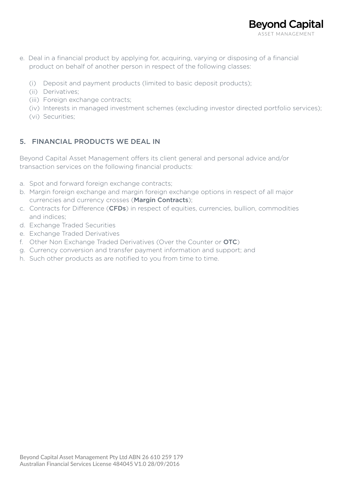- e. Deal in a financial product by applying for, acquiring, varying or disposing of a financial product on behalf of another person in respect of the following classes:
	- (i) Deposit and payment products (limited to basic deposit products);
	- (ii) Derivatives;
	- (iii) Foreign exchange contracts;
	- (iv) Interests in managed investment schemes (excluding investor directed portfolio services);
	- (vi) Securities;

# 5. FINANCIAL PRODUCTS WE DEAL IN

Beyond Capital Asset Management offers its client general and personal advice and/or transaction services on the following financial products:

- a. Spot and forward foreign exchange contracts;
- b. Margin foreign exchange and margin foreign exchange options in respect of all major currencies and currency crosses (Margin Contracts);
- c. Contracts for Difference (CFDs) in respect of equities, currencies, bullion, commodities and indices;
- d. Exchange Traded Securities
- e. Exchange Traded Derivatives
- f. Other Non Exchange Traded Derivatives (Over the Counter or OTC)
- g. Currency conversion and transfer payment information and support; and
- h. Such other products as are notified to you from time to time.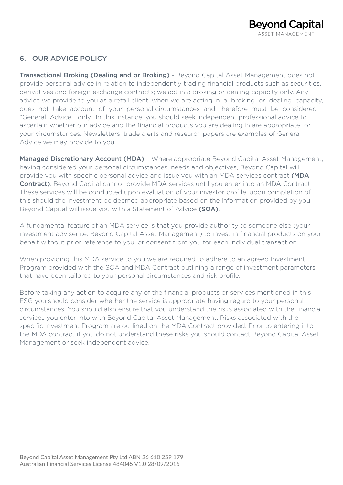

# 6. OUR ADVICE POLICY

**Transactional Broking (Dealing and or Broking)** - Beyond Capital Asset Management does not provide personal advice in relation to independently trading financial products such as securities, derivatives and foreign exchange contracts; we act in a broking or dealing capacity only. Any advice we provide to you as a retail client, when we are acting in a broking or dealing capacity, does not take account of your personal circumstances and therefore must be considered "General Advice" only. In this instance, you should seek independent professional advice to ascertain whether our advice and the financial products you are dealing in are appropriate for your circumstances. Newsletters, trade alerts and research papers are examples of General Advice we may provide to you.

Managed Discretionary Account (MDA) - Where appropriate Beyond Capital Asset Management, having considered your personal circumstances, needs and objectives, Beyond Capital will provide you with specific personal advice and issue you with an MDA services contract (MDA Contract). Beyond Capital cannot provide MDA services until you enter into an MDA Contract. These services will be conducted upon evaluation of your investor profile, upon completion of this should the investment be deemed appropriate based on the information provided by you, Beyond Capital will issue you with a Statement of Advice (SOA).

A fundamental feature of an MDA service is that you provide authority to someone else (your investment adviser i.e. Beyond Capital Asset Management) to invest in financial products on your behalf without prior reference to you, or consent from you for each individual transaction.

When providing this MDA service to you we are required to adhere to an agreed Investment Program provided with the SOA and MDA Contract outlining a range of investment parameters that have been tailored to your personal circumstances and risk profile.

Before taking any action to acquire any of the financial products or services mentioned in this FSG you should consider whether the service is appropriate having regard to your personal circumstances. You should also ensure that you understand the risks associated with the financial services you enter into with Beyond Capital Asset Management. Risks associated with the specific Investment Program are outlined on the MDA Contract provided. Prior to entering into the MDA contract if you do not understand these risks you should contact Beyond Capital Asset Management or seek independent advice.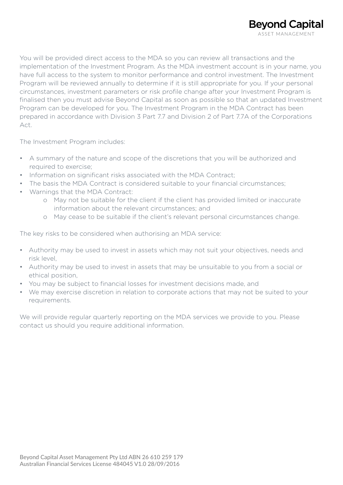You will be provided direct access to the MDA so you can review all transactions and the implementation of the Investment Program. As the MDA investment account is in your name, you have full access to the system to monitor performance and control investment. The Investment Program will be reviewed annually to determine if it is still appropriate for you. If your personal circumstances, investment parameters or risk profile change after your Investment Program is finalised then you must advise Beyond Capital as soon as possible so that an updated Investment Program can be developed for you. The Investment Program in the MDA Contract has been prepared in accordance with Division 3 Part 7.7 and Division 2 of Part 7.7A of the Corporations Act.

The Investment Program includes:

- A summary of the nature and scope of the discretions that you will be authorized and required to exercise;
- Information on significant risks associated with the MDA Contract;
- The basis the MDA Contract is considered suitable to your financial circumstances;
- Warnings that the MDA Contract:
	- o May not be suitable for the client if the client has provided limited or inaccurate information about the relevant circumstances; and
	- o May cease to be suitable if the client's relevant personal circumstances change.

The key risks to be considered when authorising an MDA service:

- Authority may be used to invest in assets which may not suit your objectives, needs and risk level,
- Authority may be used to invest in assets that may be unsuitable to you from a social or ethical position,
- You may be subject to financial losses for investment decisions made, and
- We may exercise discretion in relation to corporate actions that may not be suited to your requirements.

We will provide regular quarterly reporting on the MDA services we provide to you. Please contact us should you require additional information.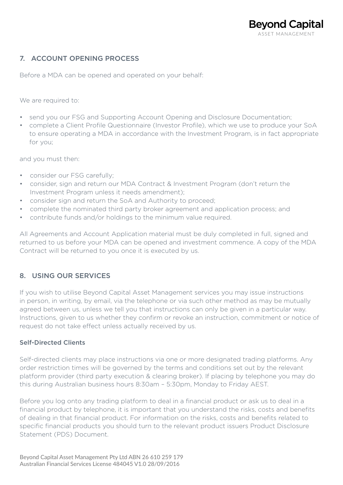# 7. ACCOUNT OPENING PROCESS

Before a MDA can be opened and operated on your behalf:

We are required to:

- send you our FSG and Supporting Account Opening and Disclosure Documentation;
- complete a Client Profile Questionnaire (Investor Profile), which we use to produce your SoA to ensure operating a MDA in accordance with the Investment Program, is in fact appropriate for you;

and you must then:

- consider our FSG carefully;
- consider, sign and return our MDA Contract & Investment Program (don't return the Investment Program unless it needs amendment);
- consider sign and return the SoA and Authority to proceed;
- complete the nominated third party broker agreement and application process; and
- contribute funds and/or holdings to the minimum value required.

All Agreements and Account Application material must be duly completed in full, signed and returned to us before your MDA can be opened and investment commence. A copy of the MDA Contract will be returned to you once it is executed by us.

# 8. USING OUR SERVICES

If you wish to utilise Beyond Capital Asset Management services you may issue instructions in person, in writing, by email, via the telephone or via such other method as may be mutually agreed between us, unless we tell you that instructions can only be given in a particular way. Instructions, given to us whether they confirm or revoke an instruction, commitment or notice of request do not take effect unless actually received by us.

#### Self-Directed Clients

Self-directed clients may place instructions via one or more designated trading platforms. Any order restriction times will be governed by the terms and conditions set out by the relevant platform provider (third party execution & clearing broker). If placing by telephone you may do this during Australian business hours 8:30am – 5:30pm, Monday to Friday AEST.

Before you log onto any trading platform to deal in a financial product or ask us to deal in a financial product by telephone, it is important that you understand the risks, costs and benefits of dealing in that financial product. For information on the risks, costs and benefits related to specific financial products you should turn to the relevant product issuers Product Disclosure Statement (PDS) Document.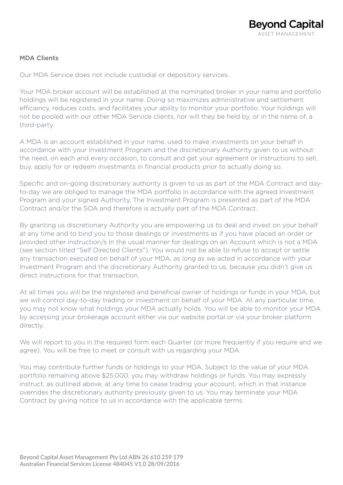#### MDA Clients

Our MDA Service does not include custodial or depository services.

Your MDA broker account will be established at the nominated broker in your name and portfolio holdings will be registered in your name. Doing so maximizes administrative and settlement efficiency, reduces costs, and facilitates your ability to monitor your portfolio. Your holdings will not be pooled with our other MDA Service clients, nor will they be held by, or in the name of, a third-party.

A MDA is an account established in your name, used to make investments on your behalf in accordance with your Investment Program and the discretionary Authority given to us without the need, on each and every occasion, to consult and get your agreement or instructions to sell, buy, apply for or redeem investments in financial products prior to actually doing so.

Specific and on-going discretionary authority is given to us as part of the MDA Contract and dayto-day we are obliged to manage the MDA portfolio in accordance with the agreed Investment Program and your signed Authority. The Investment Program is presented as part of the MDA Contract and/or the SOA and therefore is actually part of the MDA Contract.

By granting us discretionary Authority you are empowering us to deal and invest on your behalf at any time and to bind you to those dealings or investments as if you have placed an order or provided other instruction/s in the usual manner for dealings on an Account which is not a MDA (see section titled "Self Directed Clients"). You would not be able to refuse to accept or settle any transaction executed on behalf of your MDA, as long as we acted in accordance with your Investment Program and the discretionary Authority granted to us, because you didn't give us direct instructions for that transaction.

At all times you will be the registered and beneficial owner of holdings or funds in your MDA, but we will control day-to-day trading or investment on behalf of your MDA. At any particular time, you may not know what holdings your MDA actually holds. You will be able to monitor your MDA by accessing your brokerage account either via our website portal or via your broker platform directly.

We will report to you in the required form each Quarter (or more frequently if you require and we agree). You will be free to meet or consult with us regarding your MDA.

You may contribute further funds or holdings to your MDA. Subject to the value of your MDA portfolio remaining above \$25,000, you may withdraw holdings or funds. You may expressly instruct, as outlined above, at any time to cease trading your account, which in that instance overrides the discretionary authority previously given to us. You may terminate your MDA Contract by giving notice to us in accordance with the applicable terms.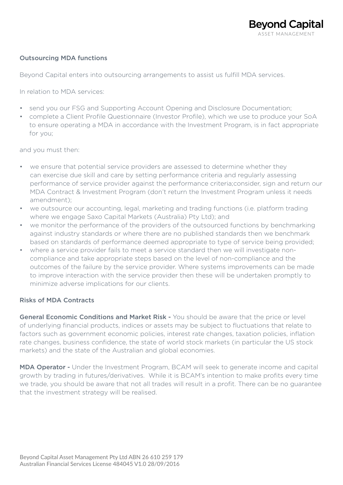#### Outsourcing MDA functions

Beyond Capital enters into outsourcing arrangements to assist us fulfill MDA services.

In relation to MDA services:

- send you our FSG and Supporting Account Opening and Disclosure Documentation;
- complete a Client Profile Questionnaire (Investor Profile), which we use to produce your SoA to ensure operating a MDA in accordance with the Investment Program, is in fact appropriate for you;

and you must then:

- we ensure that potential service providers are assessed to determine whether they can exercise due skill and care by setting performance criteria and regularly assessing performance of service provider against the performance criteria;consider, sign and return our MDA Contract & Investment Program (don't return the Investment Program unless it needs amendment);
- we outsource our accounting, legal, marketing and trading functions (i.e. platform trading where we engage Saxo Capital Markets (Australia) Pty Ltd); and
- we monitor the performance of the providers of the outsourced functions by benchmarking against industry standards or where there are no published standards then we benchmark based on standards of performance deemed appropriate to type of service being provided;
- where a service provider fails to meet a service standard then we will investigate noncompliance and take appropriate steps based on the level of non-compliance and the outcomes of the failure by the service provider. Where systems improvements can be made to improve interaction with the service provider then these will be undertaken promptly to minimize adverse implications for our clients.

#### Risks of MDA Contracts

General Economic Conditions and Market Risk - You should be aware that the price or level of underlying financial products, indices or assets may be subject to fluctuations that relate to factors such as government economic policies, interest rate changes, taxation policies, inflation rate changes, business confidence, the state of world stock markets (in particular the US stock markets) and the state of the Australian and global economies.

MDA Operator - Under the Investment Program, BCAM will seek to generate income and capital growth by trading in futures/derivatives. While it is BCAM's intention to make profits every time we trade, you should be aware that not all trades will result in a profit. There can be no guarantee that the investment strategy will be realised.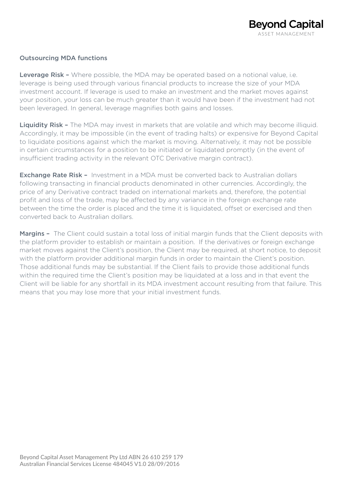#### Outsourcing MDA functions

Leverage Risk - Where possible, the MDA may be operated based on a notional value, i.e. leverage is being used through various financial products to increase the size of your MDA investment account. If leverage is used to make an investment and the market moves against your position, your loss can be much greater than it would have been if the investment had not been leveraged. In general, leverage magnifies both gains and losses.

Liquidity Risk - The MDA may invest in markets that are volatile and which may become illiquid. Accordingly, it may be impossible (in the event of trading halts) or expensive for Beyond Capital to liquidate positions against which the market is moving. Alternatively, it may not be possible in certain circumstances for a position to be initiated or liquidated promptly (in the event of insufficient trading activity in the relevant OTC Derivative margin contract).

**Exchange Rate Risk -** Investment in a MDA must be converted back to Australian dollars following transacting in financial products denominated in other currencies. Accordingly, the price of any Derivative contract traded on international markets and, therefore, the potential profit and loss of the trade, may be affected by any variance in the foreign exchange rate between the time the order is placed and the time it is liquidated, offset or exercised and then converted back to Australian dollars.

Margins - The Client could sustain a total loss of initial margin funds that the Client deposits with the platform provider to establish or maintain a position. If the derivatives or foreign exchange market moves against the Client's position, the Client may be required, at short notice, to deposit with the platform provider additional margin funds in order to maintain the Client's position. Those additional funds may be substantial. If the Client fails to provide those additional funds within the required time the Client's position may be liquidated at a loss and in that event the Client will be liable for any shortfall in its MDA investment account resulting from that failure. This means that you may lose more that your initial investment funds.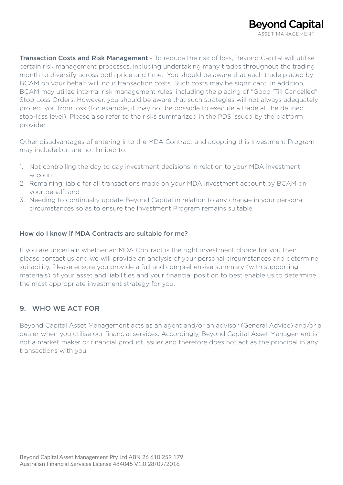Transaction Costs and Risk Management - To reduce the risk of loss, Beyond Capital will utilise certain risk management processes, including undertaking many trades throughout the trading month to diversify across both price and time. You should be aware that each trade placed by BCAM on your behalf will incur transaction costs. Such costs may be significant. In addition, BCAM may utilize internal risk management rules, including the placing of "Good 'Till Cancelled" Stop Loss Orders. However, you should be aware that such strategies will not always adequately protect you from loss (for example, it may not be possible to execute a trade at the defined stop-loss level). Please also refer to the risks summarized in the PDS issued by the platform provider.

Other disadvantages of entering into the MDA Contract and adopting this Investment Program may include but are not limited to:

- 1. Not controlling the day to day investment decisions in relation to your MDA investment account;
- 2. Remaining liable for all transactions made on your MDA investment account by BCAM on your behalf; and
- 3. Needing to continually update Beyond Capital in relation to any change in your personal circumstances so as to ensure the Investment Program remains suitable.

#### How do I know if MDA Contracts are suitable for me?

If you are uncertain whether an MDA Contract is the right investment choice for you then please contact us and we will provide an analysis of your personal circumstances and determine suitability. Please ensure you provide a full and comprehensive summary (with supporting materials) of your asset and liabilities and your financial position to best enable us to determine the most appropriate investment strategy for you.

# 9. WHO WE ACT FOR

Beyond Capital Asset Management acts as an agent and/or an advisor (General Advice) and/or a dealer when you utilise our financial services. Accordingly, Beyond Capital Asset Management is not a market maker or financial product issuer and therefore does not act as the principal in any transactions with you.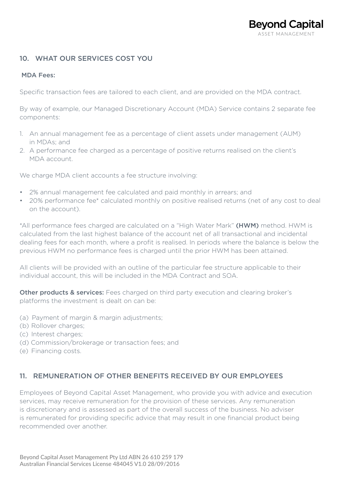# 10. WHAT OUR SERVICES COST YOU

#### MDA Fees:

Specific transaction fees are tailored to each client, and are provided on the MDA contract.

By way of example, our Managed Discretionary Account (MDA) Service contains 2 separate fee components:

- 1. An annual management fee as a percentage of client assets under management (AUM) in MDAs; and
- 2. A performance fee charged as a percentage of positive returns realised on the client's MDA account.

We charge MDA client accounts a fee structure involving:

- 2% annual management fee calculated and paid monthly in arrears; and
- 20% performance fee\* calculated monthly on positive realised returns (net of any cost to deal on the account).

\*All performance fees charged are calculated on a "High Water Mark" (HWM) method. HWM is calculated from the last highest balance of the account net of all transactional and incidental dealing fees for each month, where a profit is realised. In periods where the balance is below the previous HWM no performance fees is charged until the prior HWM has been attained.

All clients will be provided with an outline of the particular fee structure applicable to their individual account, this will be included in the MDA Contract and SOA.

Other products & services: Fees charged on third party execution and clearing broker's platforms the investment is dealt on can be:

- (a) Payment of margin & margin adjustments;
- (b) Rollover charges:
- (c) Interest charges;
- (d) Commission/brokerage or transaction fees; and
- (e) Financing costs.

# 11. REMUNERATION OF OTHER BENEFITS RECEIVED BY OUR EMPLOYEES

Employees of Beyond Capital Asset Management, who provide you with advice and execution services, may receive remuneration for the provision of these services. Any remuneration is discretionary and is assessed as part of the overall success of the business. No adviser is remunerated for providing specific advice that may result in one financial product being recommended over another.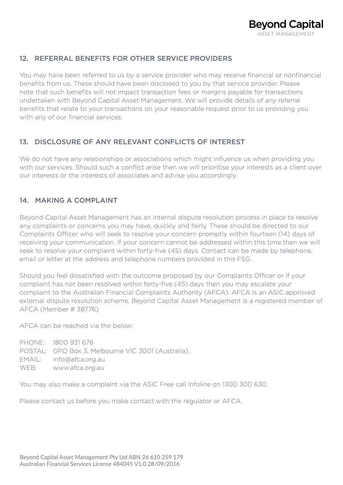# 12. REFERRAL BENEFITS FOR OTHER SERVICE PROVIDERS

You may have been referred to us by a service provider who may receive financial or nonfinancial benefits from us. These should have been disclosed to you by that service provider. Please note that such benefits will not impact transaction fees or margins payable for transactions undertaken with Beyond Capital Asset Management. We will provide details of any referral benefits that relate to your transactions on your reasonable request prior to us providing you with any of our financial services.

# 13. DISCLOSURE OF ANY RELEVANT CONFLICTS OF INTEREST

We do not have any relationships or associations which might influence us when providing you with our services. Should such a conflict arise then we will prioritise your interests as a client over our interests or the interests of associates and advise you accordingly.

# 14. MAKING A COMPLAINT

Beyond Capital Asset Management has an internal dispute resolution process in place to resolve any complaints or concerns you may have, quickly and fairly. These should be directed to our Complaints Officer who will seek to resolve your concern promptly within fourteen (14) days of receiving your communication. If your concern cannot be addressed within this time then we will seek to resolve your complaint within forty-five (45) days. Contact can be made by telephone, email or letter at the address and telephone numbers provided in this FSG.

Should you feel dissatisfied with the outcome proposed by our Complaints Officer or if your complaint has not been resolved within forty-five (45) days then you may escalate your complaint to the Australian Financial Complaints Authority (AFCA). AFCA is an ASIC approved external dispute resolution scheme. Beyond Capital Asset Management is a registered member of AFCA (Member # 38776)

AFCA can be reached via the below:

PHONE: 1800 931 678 POSTAL: GPO Box 3, Melbourne VIC 3001 (Australia). EMAIL: info@afca.org.au WEB: www.afca.org.au

You may also make a complaint via the ASIC Free call Infoline on 1300 300 630.

Please contact us before you make contact with the regulator or AFCA.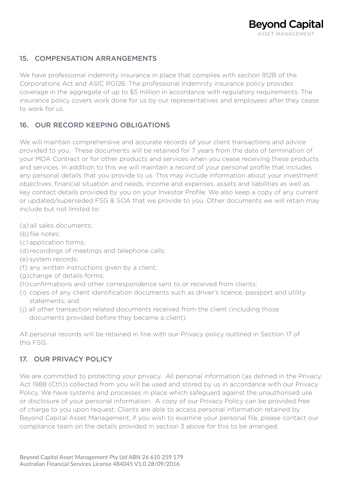# 15. COMPENSATION ARRANGEMENTS

We have professional indemnity insurance in place that complies with section 912B of the Corporations Act and ASIC RG126. The professional indemnity insurance policy provides coverage in the aggregate of up to \$5 million in accordance with regulatory requirements. The insurance policy covers work done for us by our representatives and employees after they cease to work for us.

# 16. OUR RECORD KEEPING OBLIGATIONS

We will maintain comprehensive and accurate records of your client transactions and advice provided to you. These documents will be retained for 7 years from the date of termination of your MDA Contract or for other products and services when you cease receiving these products and services. In addition to this we will maintain a record of your personal profile that includes any personal details that you provide to us. This may include information about your investment objectives, financial situation and needs, income and expenses, assets and liabilities as well as key contact details provided by you on your Investor Profile. We also keep a copy of any current or updated/superseded FSG & SOA that we provide to you. Other documents we will retain may include but not limited to:

(a) all sales documents;

- (b) file notes;
- (c) application forms;
- (d) recordings of meetings and telephone calls;
- (e) system records;
- (f) any written instructions given by a client;
- (g) change of details forms;
- (h) confirmations and other correspondence sent to or received from clients;
- (i) copies of any client identification documents such as driver's licence, passport and utility statements; and
- (j) all other transaction related documents received from the client (including those documents provided before they became a client).

All personal records will be retained in line with our Privacy policy outlined in Section 17 of this FSG.

# 17. OUR PRIVACY POLICY

We are committed to protecting your privacy. All personal information (as defined in the Privacy Act 1988 (Cth)) collected from you will be used and stored by us in accordance with our Privacy Policy. We have systems and processes in place which safeguard against the unauthorised use or disclosure of your personal information. A copy of our Privacy Policy can be provided free of charge to you upon request. Clients are able to access personal information retained by Beyond Capital Asset Management, if you wish to examine your personal file, please contact our compliance team on the details provided in section 3 above for this to be arranged.